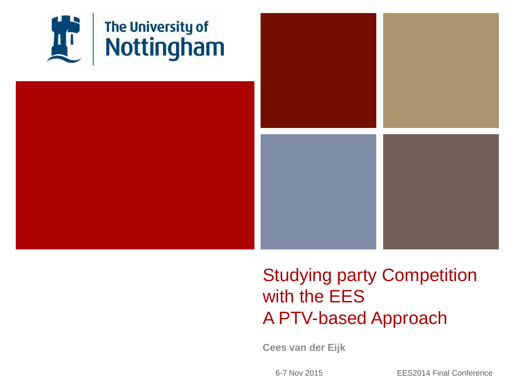

### Studying party Competition with the EES A PTV-based Approach

**Cees van der Eijk**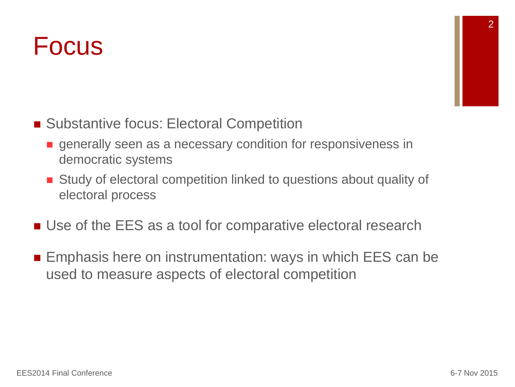### Focus

- Substantive focus: Electoral Competition
	- **e** generally seen as a necessary condition for responsiveness in democratic systems
	- Study of electoral competition linked to questions about quality of electoral process
- Use of the EES as a tool for comparative electoral research
- **Emphasis here on instrumentation: ways in which EES can be** used to measure aspects of electoral competition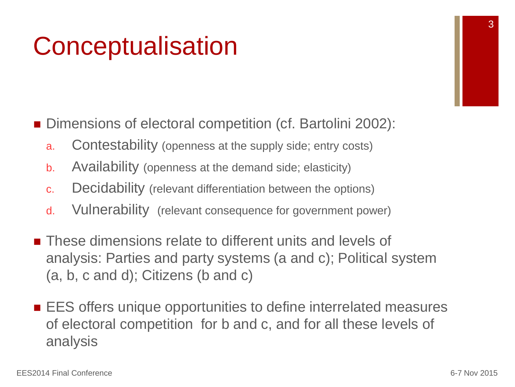## **Conceptualisation**

■ Dimensions of electoral competition (cf. Bartolini 2002):

- a. Contestability (openness at the supply side; entry costs)
- b. Availability (openness at the demand side; elasticity)
- c. Decidability (relevant differentiation between the options)
- d. Vulnerability (relevant consequence for government power)
- **These dimensions relate to different units and levels of** analysis: Parties and party systems (a and c); Political system (a, b, c and d); Citizens (b and c)
- **EX** EES offers unique opportunities to define interrelated measures of electoral competition for b and c, and for all these levels of analysis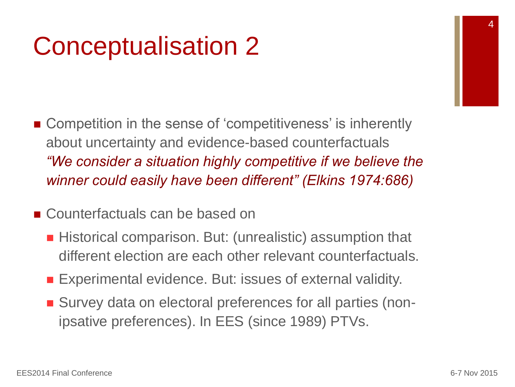## Conceptualisation 2

■ Competition in the sense of 'competitiveness' is inherently about uncertainty and evidence-based counterfactuals *"We consider a situation highly competitive if we believe the winner could easily have been different" (Elkins 1974:686)*

### ■ Counterfactuals can be based on

- Historical comparison. But: (unrealistic) assumption that different election are each other relevant counterfactuals.
- **Experimental evidence. But: issues of external validity.**
- Survey data on electoral preferences for all parties (nonipsative preferences). In EES (since 1989) PTVs.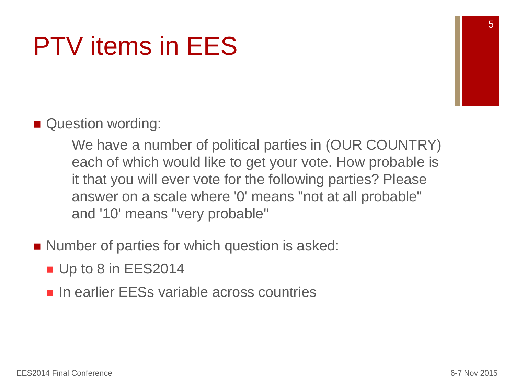# PTV items in EES

### ■ Question wording:

We have a number of political parties in (OUR COUNTRY) each of which would like to get your vote. How probable is it that you will ever vote for the following parties? Please answer on a scale where '0' means "not at all probable" and '10' means "very probable"

- Number of parties for which question is asked:
	- Up to 8 in EES2014
	- **In earlier EESs variable across countries**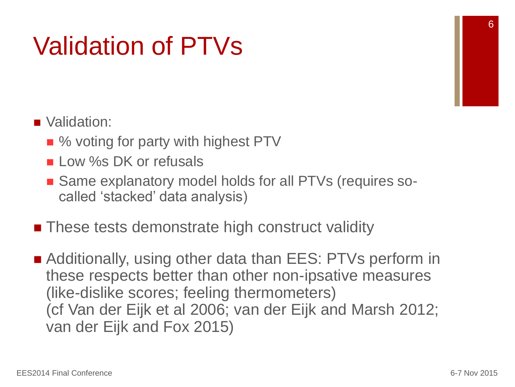# Validation of PTVs

### ■ Validation:

- % voting for party with highest PTV
- **Low %s DK or refusals**
- Same explanatory model holds for all PTVs (requires socalled 'stacked' data analysis)
- These tests demonstrate high construct validity
- Additionally, using other data than EES: PTVs perform in these respects better than other non-ipsative measures (like-dislike scores; feeling thermometers) (cf Van der Eijk et al 2006; van der Eijk and Marsh 2012; van der Eijk and Fox 2015)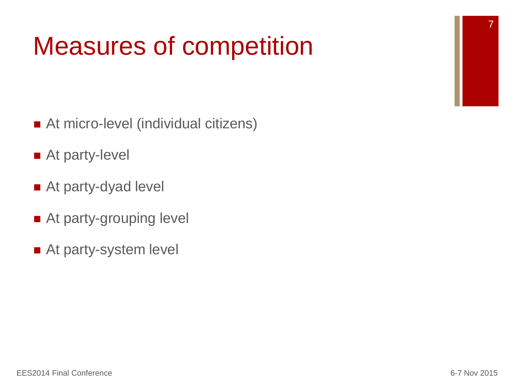# Measures of competition

- At micro-level (individual citizens)
- At party-level
- At party-dyad level
- At party-grouping level
- At party-system level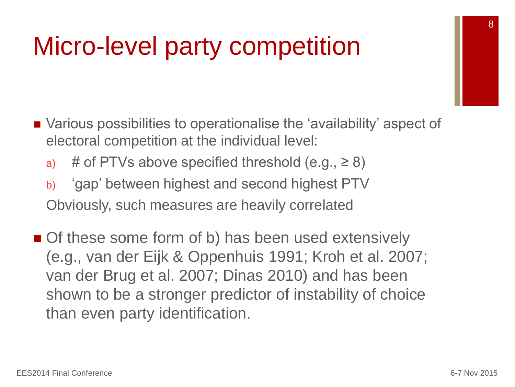### Micro-level party competition

- Various possibilities to operationalise the 'availability' aspect of electoral competition at the individual level:
	- a) # of PTVs above specified threshold  $(e.g., \ge 8)$
	- b) 'gap' between highest and second highest PTV Obviously, such measures are heavily correlated
- Of these some form of b) has been used extensively (e.g., van der Eijk & Oppenhuis 1991; Kroh et al. 2007; van der Brug et al. 2007; Dinas 2010) and has been shown to be a stronger predictor of instability of choice than even party identification.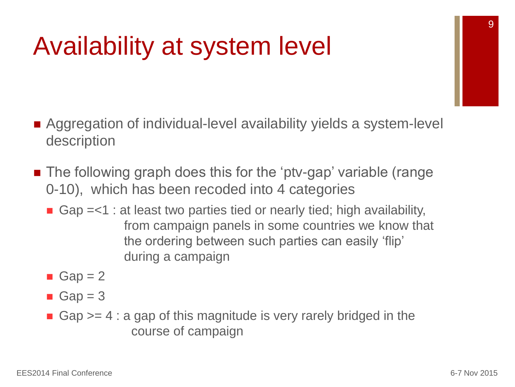## Availability at system level

- Aggregation of individual-level availability yields a system-level description
- The following graph does this for the 'ptv-gap' variable (range 0-10), which has been recoded into 4 categories
	- Gap  $=<$ 1 : at least two parties tied or nearly tied; high availability, from campaign panels in some countries we know that the ordering between such parties can easily 'flip' during a campaign
	- Gap =  $2$
	- Gap =  $3$
	- Gap  $>= 4$ : a gap of this magnitude is very rarely bridged in the course of campaign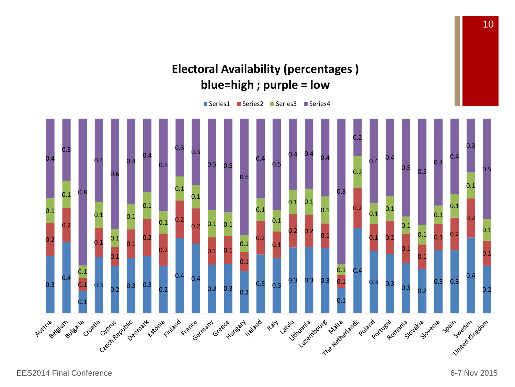### **Electoral Availability (percentages ) blue=high ; purple = low**

■ Series1 ■ Series2 ■ Series3 ■ Series4

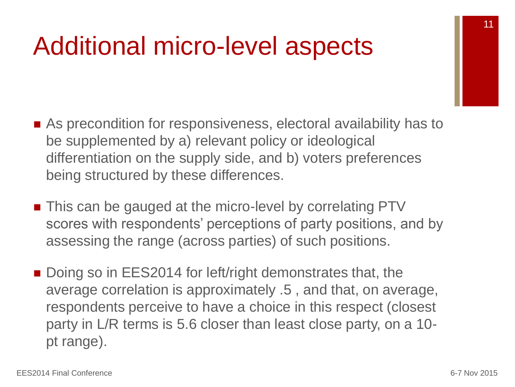### Additional micro-level aspects

- As precondition for responsiveness, electoral availability has to be supplemented by a) relevant policy or ideological differentiation on the supply side, and b) voters preferences being structured by these differences.
- This can be gauged at the micro-level by correlating PTV scores with respondents' perceptions of party positions, and by assessing the range (across parties) of such positions.
- Doing so in EES2014 for left/right demonstrates that, the average correlation is approximately .5 , and that, on average, respondents perceive to have a choice in this respect (closest party in L/R terms is 5.6 closer than least close party, on a 10 pt range).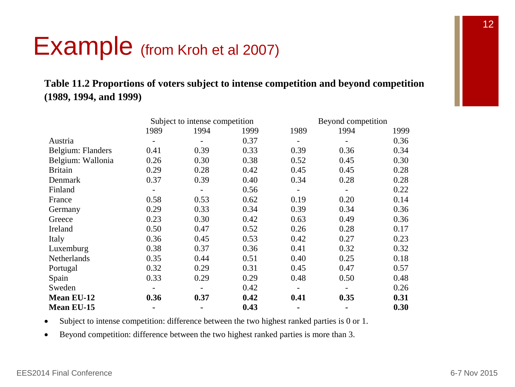### Example (from Kroh et al 2007)

#### **Table 11.2 Proportions of voters subject to intense competition and beyond competition (1989, 1994, and 1999)**

|                   | Subject to intense competition |      |      | Beyond competition |      |      |  |
|-------------------|--------------------------------|------|------|--------------------|------|------|--|
|                   | 1989                           | 1994 | 1999 | 1989               | 1994 | 1999 |  |
| Austria           |                                |      | 0.37 |                    |      | 0.36 |  |
| Belgium: Flanders | 0.41                           | 0.39 | 0.33 | 0.39               | 0.36 | 0.34 |  |
| Belgium: Wallonia | 0.26                           | 0.30 | 0.38 | 0.52               | 0.45 | 0.30 |  |
| <b>Britain</b>    | 0.29                           | 0.28 | 0.42 | 0.45               | 0.45 | 0.28 |  |
| Denmark           | 0.37                           | 0.39 | 0.40 | 0.34               | 0.28 | 0.28 |  |
| Finland           |                                |      | 0.56 |                    |      | 0.22 |  |
| France            | 0.58                           | 0.53 | 0.62 | 0.19               | 0.20 | 0.14 |  |
| Germany           | 0.29                           | 0.33 | 0.34 | 0.39               | 0.34 | 0.36 |  |
| Greece            | 0.23                           | 0.30 | 0.42 | 0.63               | 0.49 | 0.36 |  |
| Ireland           | 0.50                           | 0.47 | 0.52 | 0.26               | 0.28 | 0.17 |  |
| Italy             | 0.36                           | 0.45 | 0.53 | 0.42               | 0.27 | 0.23 |  |
| Luxemburg         | 0.38                           | 0.37 | 0.36 | 0.41               | 0.32 | 0.32 |  |
| Netherlands       | 0.35                           | 0.44 | 0.51 | 0.40               | 0.25 | 0.18 |  |
| Portugal          | 0.32                           | 0.29 | 0.31 | 0.45               | 0.47 | 0.57 |  |
| Spain             | 0.33                           | 0.29 | 0.29 | 0.48               | 0.50 | 0.48 |  |
| Sweden            |                                |      | 0.42 |                    |      | 0.26 |  |
| <b>Mean EU-12</b> | 0.36                           | 0.37 | 0.42 | 0.41               | 0.35 | 0.31 |  |
| Mean EU-15        |                                |      | 0.43 | ۰                  |      | 0.30 |  |

Subject to intense competition: difference between the two highest ranked parties is 0 or 1.

Beyond competition: difference between the two highest ranked parties is more than 3.

П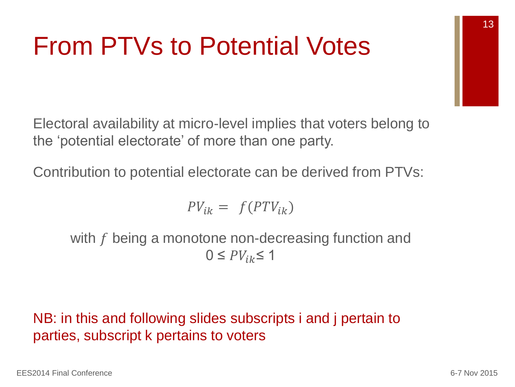## From PTVs to Potential Votes

Electoral availability at micro-level implies that voters belong to the 'potential electorate' of more than one party.

Contribution to potential electorate can be derived from PTVs:

$$
PV_{ik} = f(PTV_{ik})
$$

with  $f$  being a monotone non-decreasing function and  $0 \leq PV_{ik} \leq 1$ 

### NB: in this and following slides subscripts i and j pertain to parties, subscript k pertains to voters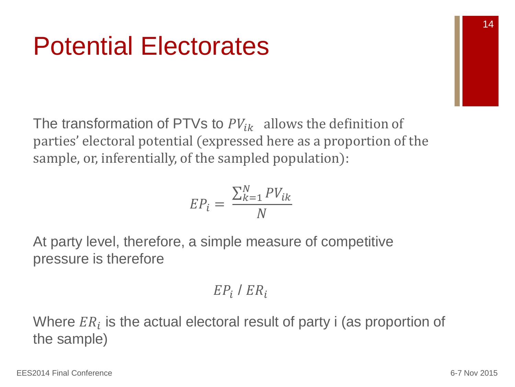## Potential Electorates

The transformation of PTVs to  $PV_{ik}$  allows the definition of parties' electoral potential (expressed here as a proportion of the sample, or, inferentially, of the sampled population):

$$
EP_i = \frac{\sum_{k=1}^{N} PV_{ik}}{N}
$$

At party level, therefore, a simple measure of competitive pressure is therefore

$$
EP_i / ER_i
$$

Where  $ER_i$  is the actual electoral result of party i (as proportion of the sample)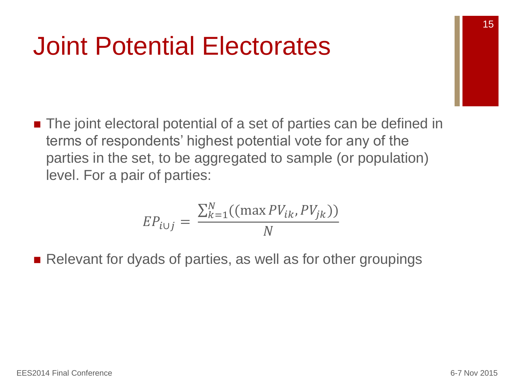### Joint Potential Electorates

■ The joint electoral potential of a set of parties can be defined in terms of respondents' highest potential vote for any of the parties in the set, to be aggregated to sample (or population) level. For a pair of parties:

$$
EP_{i\cup j} = \frac{\sum_{k=1}^{N}((\max PV_{ik}, PV_{jk}))}{N}
$$

Relevant for dyads of parties, as well as for other groupings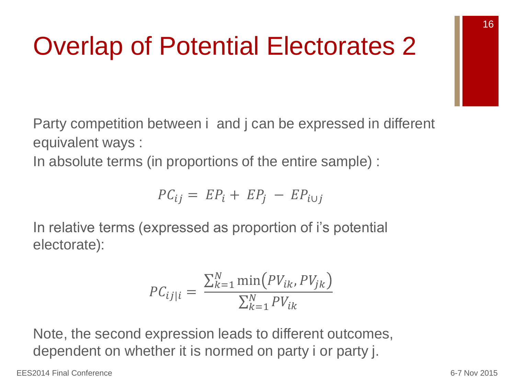# Overlap of Potential Electorates 2

Party competition between i and j can be expressed in different equivalent ways :

In absolute terms (in proportions of the entire sample) :

$$
PC_{ij} = EP_i + EP_j - EP_{i \cup j}
$$

In relative terms (expressed as proportion of i's potential electorate):

$$
PC_{ij|i} = \frac{\sum_{k=1}^{N} \min(PV_{ik}, PV_{jk})}{\sum_{k=1}^{N} PV_{ik}}
$$

Note, the second expression leads to different outcomes, dependent on whether it is normed on party i or party j.

EES2014 Final Conference 6-7 Nov 2015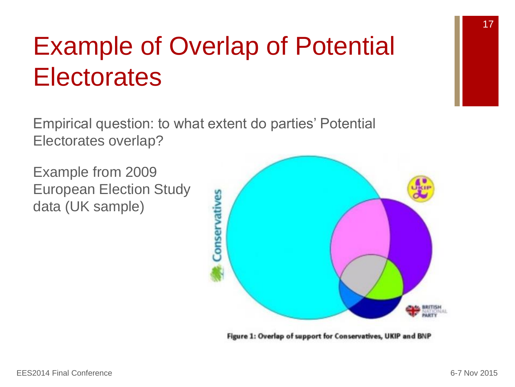# Example of Overlap of Potential **Electorates**

Empirical question: to what extent do parties' Potential Electorates overlap?

Example from 2009 European Election Study data (UK sample)



Figure 1: Overlap of support for Conservatives, UKIP and BNP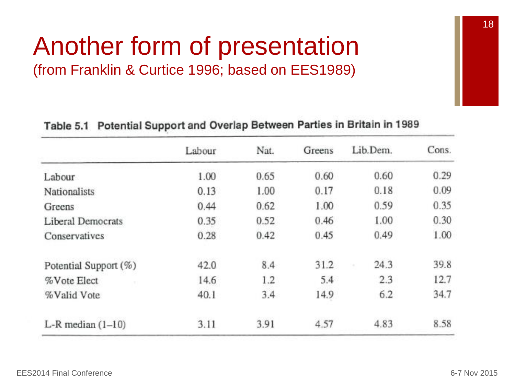### Another form of presentation (from Franklin & Curtice 1996; based on EES1989)

| Table 5.1 Potential Support and Overlap Between Parties in Britain in 1989 |  |  |  |  |  |  |
|----------------------------------------------------------------------------|--|--|--|--|--|--|
|----------------------------------------------------------------------------|--|--|--|--|--|--|

|                          | Labour | Nat. | Greens | Lib.Dem. | Cons. |
|--------------------------|--------|------|--------|----------|-------|
| Labour                   | 1.00   | 0.65 | 0.60   | 0.60     | 0.29  |
| <b>Nationalists</b>      | 0.13   | 1.00 | 0.17   | 0.18     | 0.09  |
| Greens                   | 0.44   | 0.62 | 1.00   | 0.59     | 0.35  |
| <b>Liberal Democrats</b> | 0.35   | 0.52 | 0.46   | 1.00     | 0.30  |
| Conservatives            | 0.28   | 0.42 | 0.45   | 0.49     | 1.00  |
| Potential Support (%)    | 42.0   | 8.4  | 31.2   | 24.3     | 39.8  |
| %Vote Elect              | 14.6   | 1.2  | 5.4    | 2.3      | 12.7  |
| %Valid Vote              | 40.1   | 3.4  | 14.9   | 6.2      | 34.7  |
| $L-R$ median $(1-10)$    | 3.11   | 3.91 | 4.57   | 4.83     | 8.58  |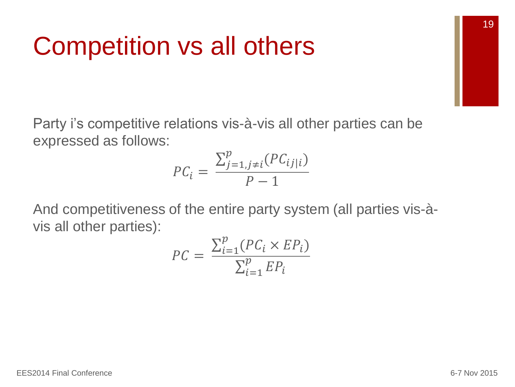### Competition vs all others

Party i's competitive relations vis-à-vis all other parties can be expressed as follows:

$$
PC_i = \frac{\sum_{j=1,j\neq i}^{p}(PC_{ij|i})}{P-1}
$$

And competitiveness of the entire party system (all parties vis-àvis all other parties):

$$
PC = \frac{\sum_{i=1}^{p} (PC_i \times EP_i)}{\sum_{i=1}^{p} EP_i}
$$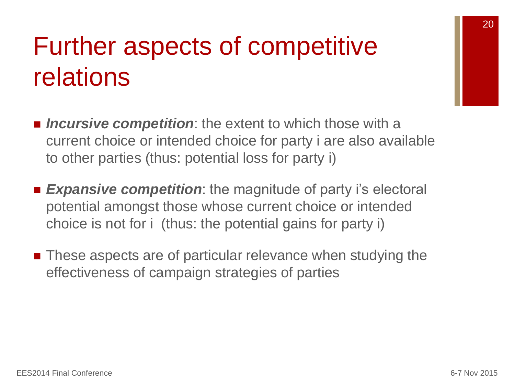## Further aspects of competitive relations

- *Incursive competition*: the extent to which those with a current choice or intended choice for party i are also available to other parties (thus: potential loss for party i)
- **Expansive competition**: the magnitude of party i's electoral potential amongst those whose current choice or intended choice is not for i (thus: the potential gains for party i)
- These aspects are of particular relevance when studying the effectiveness of campaign strategies of parties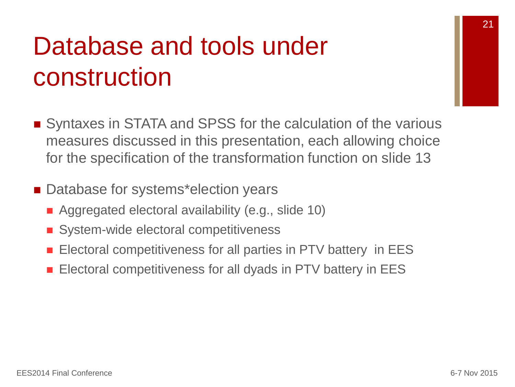## Database and tools under construction

- Syntaxes in STATA and SPSS for the calculation of the various measures discussed in this presentation, each allowing choice for the specification of the transformation function on slide 13
- Database for systems\*election years
	- Aggregated electoral availability (e.g., slide 10)
	- System-wide electoral competitiveness
	- Electoral competitiveness for all parties in PTV battery in EES
	- **Electoral competitiveness for all dyads in PTV battery in EES**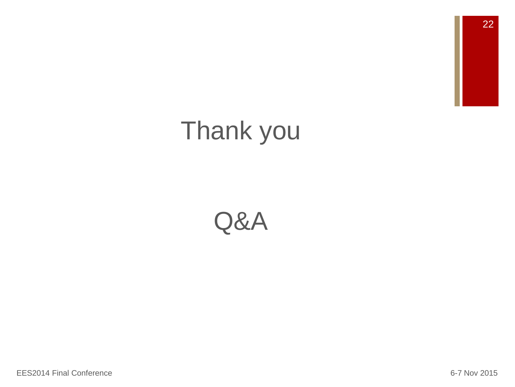22

### Thank you

### Q&A